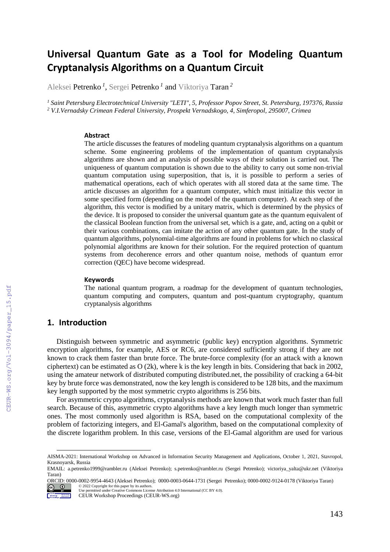# **Universal Quantum Gate as a Tool for Modeling Quantum Cryptanalysis Algorithms on a Quantum Circuit**

Aleksei Petrenko *<sup>1</sup>* , Sergei Petrenko *<sup>1</sup>* and Viktoriya Taran *<sup>2</sup>*

*<sup>1</sup> Saint Petersburg Electrotechnical University "LETI", 5, Professor Popov Street, St. Petersburg, 197376, Russia <sup>2</sup> V.I.Vernadsky Crimean Federal University, Prospekt Vernadskogo, 4, Simferopol, 295007, Crimea* 

#### **Abstract**

The article discusses the features of modeling quantum cryptanalysis algorithms on a quantum scheme. Some engineering problems of the implementation of quantum cryptanalysis algorithms are shown and an analysis of possible ways of their solution is carried out. The uniqueness of quantum computation is shown due to the ability to carry out some non-trivial quantum computation using superposition, that is, it is possible to perform a series of mathematical operations, each of which operates with all stored data at the same time. The article discusses an algorithm for a quantum computer, which must initialize this vector in some specified form (depending on the model of the quantum computer). At each step of the algorithm, this vector is modified by a unitary matrix, which is determined by the physics of the device. It is proposed to consider the universal quantum gate as the quantum equivalent of the classical Boolean function from the universal set, which is a gate, and, acting on a qubit or their various combinations, can imitate the action of any other quantum gate. In the study of quantum algorithms, polynomial-time algorithms are found in problems for which no classical polynomial algorithms are known for their solution. For the required protection of quantum systems from decoherence errors and other quantum noise, methods of quantum error correction (QEC) have become widespread.

#### **Keywords 1**

The national quantum program, a roadmap for the development of quantum technologies, quantum computing and computers, quantum and post-quantum cryptography, quantum cryptanalysis algorithms

## **1. Introduction**

Distinguish between symmetric and asymmetric (public key) encryption algorithms. Symmetric encryption algorithms, for example, AES or RC6, are considered sufficiently strong if they are not known to crack them faster than brute force. The brute-force complexity (for an attack with a known ciphertext) can be estimated as O (2k), where k is the key length in bits. Considering that back in 2002, using the amateur network of distributed computing distributed.net, the possibility of cracking a 64-bit key by brute force was demonstrated, now the key length is considered to be 128 bits, and the maximum key length supported by the most symmetric crypto algorithms is 256 bits.

For asymmetric crypto algorithms, cryptanalysis methods are known that work much faster than full search. Because of this, asymmetric crypto algorithms have a key length much longer than symmetric ones. The most commonly used algorithm is RSA, based on the computational complexity of the problem of factorizing integers, and El-Gamal's algorithm, based on the computational complexity of the discrete logarithm problem. In this case, versions of the El-Gamal algorithm are used for various

ORCID: 0000-0002-9954-4643 (Aleksei Petrenko); 0000-0003-0644-1731 (Sergei Petrenko); 0000-0002-9124-0178 (Viktoriya Taran) © 2022 Copyright for this paper by its authors. Use permitted under Creative Commons License Attribution 4.0 International (CC BY 4.0).

 $\circ$   $\circ$ Workshop Nationalists

AISMA-2021: International Workshop on Advanced in Information Security Management and Applications, October 1, 2021, Stavropol, Krasnoyarsk, Russia

EMAIL: a.petrenko1999@rambler.ru (Aleksei Petrenko); s.petrenko@rambler.ru (Sergei Petrenko); victoriya\_yalta@ukr.net (Viktoriya Taran)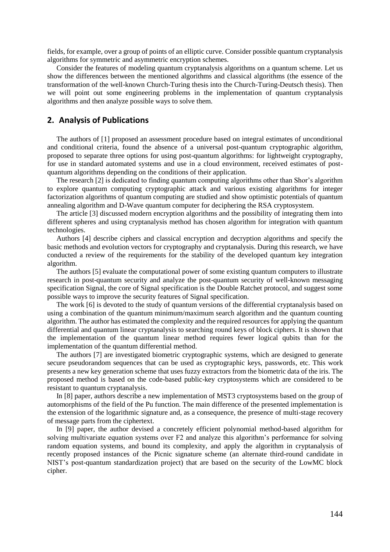fields, for example, over a group of points of an elliptic curve. Consider possible quantum cryptanalysis algorithms for symmetric and asymmetric encryption schemes.

Consider the features of modeling quantum cryptanalysis algorithms on a quantum scheme. Let us show the differences between the mentioned algorithms and classical algorithms (the essence of the transformation of the well-known Church-Turing thesis into the Church-Turing-Deutsch thesis). Then we will point out some engineering problems in the implementation of quantum cryptanalysis algorithms and then analyze possible ways to solve them.

## **2. Analysis of Publications**

The authors of [1] proposed an assessment procedure based on integral estimates of unconditional and conditional criteria, found the absence of a universal post-quantum cryptographic algorithm, proposed to separate three options for using post-quantum algorithms: for lightweight cryptography, for use in standard automated systems and use in a cloud environment, received estimates of postquantum algorithms depending on the conditions of their application.

The research [2] is dedicated to finding quantum computing algorithms other than Shor's algorithm to explore quantum computing cryptographic attack and various existing algorithms for integer factorization algorithms of quantum computing are studied and show optimistic potentials of quantum annealing algorithm and D-Wave quantum computer for deciphering the RSA cryptosystem.

The article [3] discussed modern encryption algorithms and the possibility of integrating them into different spheres and using cryptanalysis method has chosen algorithm for integration with quantum technologies.

Authors [4] describe ciphers and classical encryption and decryption algorithms and specify the basic methods and evolution vectors for cryptography and cryptanalysis. During this research, we have conducted a review of the requirements for the stability of the developed quantum key integration algorithm.

The authors [5] evaluate the computational power of some existing quantum computers to illustrate research in post-quantum security and analyze the post-quantum security of well-known messaging specification Signal, the core of Signal specification is the Double Ratchet protocol, and suggest some possible ways to improve the security features of Signal specification.

The work [6] is devoted to the study of quantum versions of the differential cryptanalysis based on using a combination of the quantum minimum/maximum search algorithm and the quantum counting algorithm. The author has estimated the complexity and the required resources for applying the quantum differential and quantum linear cryptanalysis to searching round keys of block ciphers. It is shown that the implementation of the quantum linear method requires fewer logical qubits than for the implementation of the quantum differential method.

The authors [7] are investigated biometric cryptographic systems, which are designed to generate secure pseudorandom sequences that can be used as cryptographic keys, passwords, etc. This work presents a new key generation scheme that uses fuzzy extractors from the biometric data of the iris. The proposed method is based on the code-based public-key cryptosystems which are considered to be resistant to quantum cryptanalysis.

In [8] paper, authors describe a new implementation of MST3 cryptosystems based on the group of automorphisms of the field of the Pu function. The main difference of the presented implementation is the extension of the logarithmic signature and, as a consequence, the presence of multi-stage recovery of message parts from the ciphertext.

In [9] paper, the author devised a concretely efficient polynomial method-based algorithm for solving multivariate equation systems over F2 and analyze this algorithm's performance for solving random equation systems, and bound its complexity, and apply the algorithm in cryptanalysis of recently proposed instances of the Picnic signature scheme (an alternate third-round candidate in NIST's post-quantum standardization project) that are based on the security of the LowMC block cipher.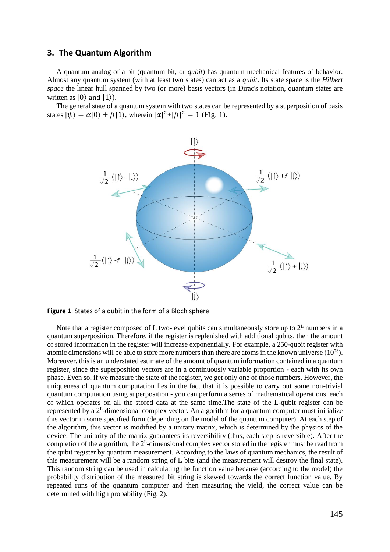## **3. The Quantum Algorithm**

A quantum analog of a bit (quantum bit, or *qubit*) has quantum mechanical features of behavior. Almost any quantum system (with at least two states) can act as a *qubit*. Its state space is the *Hilbert space* the linear hull spanned by two (or more) basis vectors (in Dirac's notation, quantum states are written as  $|0\rangle$  and  $|1\rangle$ ).

The general state of a quantum system with two states can be represented by a superposition of basis states  $|\psi\rangle = \alpha|0\rangle + \beta|1\rangle$ , wherein  $|\alpha|^2 + |\beta|^2 = 1$  (Fig. 1).



**Figure 1**: States of a qubit in the form of a Bloch sphere

Note that a register composed of L two-level qubits can simultaneously store up to  $2^L$  numbers in a quantum superposition. Therefore, if the register is replenished with additional qubits, then the amount of stored information in the register will increase exponentially. For example, a 250-qubit register with atomic dimensions will be able to store more numbers than there are atoms in the known universe  $(10^{78})$ . Moreover, this is an understated estimate of the amount of quantum information contained in a quantum register, since the superposition vectors are in a continuously variable proportion - each with its own phase. Even so, if we measure the state of the register, we get only one of those numbers. However, the uniqueness of quantum computation lies in the fact that it is possible to carry out some non-trivial quantum computation using superposition - you can perform a series of mathematical operations, each of which operates on all the stored data at the same time.The state of the L-qubit register can be represented by a  $2^L$ -dimensional complex vector. An algorithm for a quantum computer must initialize this vector in some specified form (depending on the model of the quantum computer). At each step of the algorithm, this vector is modified by a unitary matrix, which is determined by the physics of the device. The unitarity of the matrix guarantees its reversibility (thus, each step is reversible). After the completion of the algorithm, the  $2^L$ -dimensional complex vector stored in the register must be read from the qubit register by quantum measurement. According to the laws of quantum mechanics, the result of this measurement will be a random string of L bits (and the measurement will destroy the final state). This random string can be used in calculating the function value because (according to the model) the probability distribution of the measured bit string is skewed towards the correct function value. By repeated runs of the quantum computer and then measuring the yield, the correct value can be determined with high probability (Fig. 2).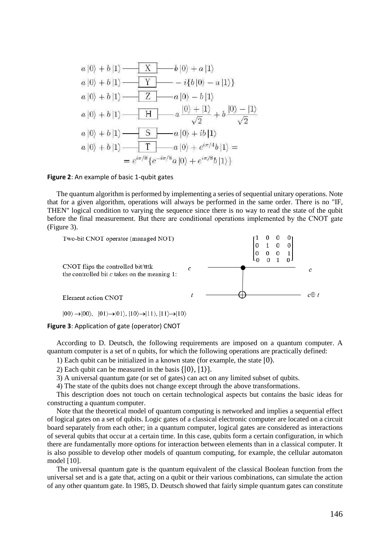

#### **Figure 2**: An example of basic 1-qubit gates

The quantum algorithm is performed by implementing a series of sequential unitary operations. Note that for a given algorithm, operations will always be performed in the same order. There is no "IF, THEN" logical condition to varying the sequence since there is no way to read the state of the qubit before the final measurement. But there are conditional operations implemented by the СNOT gate (Figure 3).



 $|00\rangle \rightarrow |00\rangle$ ,  $|01\rangle \rightarrow |01\rangle$ ,  $|10\rangle \rightarrow |11\rangle$ ,  $|11\rangle \rightarrow |10\rangle$ 

**Figure 3**: Application of gate (operator) СNOT

According to D. Deutsch, the following requirements are imposed on a quantum computer. A quantum computer is a set of n qubits, for which the following operations are practically defined:

1) Each qubit can be initialized in a known state (for example, the state |0⟩.

2) Each qubit can be measured in the basis  $\{|0\rangle, |1\rangle\}.$ 

3) A universal quantum gate (or set of gates) can act on any limited subset of qubits.

4) The state of the qubits does not change except through the above transformations.

This description does not touch on certain technological aspects but contains the basic ideas for constructing a quantum computer.

Note that the theoretical model of quantum computing is networked and implies a sequential effect of logical gates on a set of qubits. Logic gates of a classical electronic computer are located on a circuit board separately from each other; in a quantum computer, logical gates are considered as interactions of several qubits that occur at a certain time. In this case, qubits form a certain configuration, in which there are fundamentally more options for interaction between elements than in a classical computer. It is also possible to develop other models of quantum computing, for example, the cellular automaton model [10].

The universal quantum gate is the quantum equivalent of the classical Boolean function from the universal set and is a gate that, acting on a qubit or their various combinations, can simulate the action of any other quantum gate. In 1985, D. Deutsch showed that fairly simple quantum gates can constitute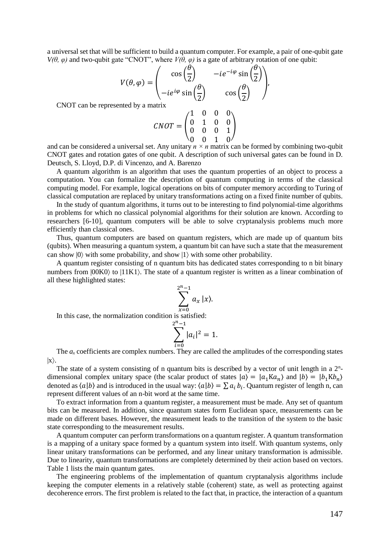a universal set that will be sufficient to build a quantum computer. For example, a pair of one-qubit gate *V*( $\theta$ ,  $\varphi$ ) and two-qubit gate "CNOT", where *V*( $\theta$ ,  $\varphi$ ) is a gate of arbitrary rotation of one qubit:

$$
V(\theta, \varphi) = \begin{pmatrix} \cos\left(\frac{\theta}{2}\right) & -ie^{-i\varphi}\sin\left(\frac{\theta}{2}\right) \\ -ie^{i\varphi}\sin\left(\frac{\theta}{2}\right) & \cos\left(\frac{\theta}{2}\right) \end{pmatrix},
$$

CNOT can be represented by a matrix

$$
CNOT = \begin{pmatrix} 1 & 0 & 0 & 0 \\ 0 & 1 & 0 & 0 \\ 0 & 0 & 0 & 1 \\ 0 & 0 & 1 & 0 \end{pmatrix}
$$

and can be considered a universal set. Any unitary *n × n* matrix can be formed by combining two-qubit CNOT gates and rotation gates of one qubit. A description of such universal gates can be found in D. Deutsch, S. Lloyd, D.P. di Vincenzo, and A. Barenzo

A quantum algorithm is an algorithm that uses the quantum properties of an object to process a computation. You can formalize the description of quantum computing in terms of the classical computing model. For example, logical operations on bits of computer memory according to Turing of classical computation are replaced by unitary transformations acting on a fixed finite number of qubits.

In the study of quantum algorithms, it turns out to be interesting to find polynomial-time algorithms in problems for which no classical polynomial algorithms for their solution are known. According to researchers [6-10], quantum computers will be able to solve cryptanalysis problems much more efficiently than classical ones.

Thus, quantum computers are based on quantum registers, which are made up of quantum bits (qubits). When measuring a quantum system, a quantum bit can have such a state that the measurement can show  $|0\rangle$  with some probability, and show  $|1\rangle$  with some other probability.

A quantum register consisting of n quantum bits has dedicated states corresponding to n bit binary numbers from  $|00K0\rangle$  to  $|11K1\rangle$ . The state of a quantum register is written as a linear combination of all these highlighted states:

$$
\sum_{x=0}^{2^n-1} a_x \, |x\rangle.
$$

In this case, the normalization condition is satisfied:

$$
\sum_{i=0}^{2^{n}-1} |a_{i}|^{2} = 1.
$$

The  $a_x$  coefficients are complex numbers. They are called the amplitudes of the corresponding states  $|x\rangle$ .

The state of a system consisting of n quantum bits is described by a vector of unit length in a  $2<sup>n</sup>$ dimensional complex unitary space (the scalar product of states  $|a\rangle = |a_1 Ka_n\rangle$  and  $|b\rangle = |b_1Kb_n\rangle$ denoted as  $\langle a|b\rangle$  and is introduced in the usual way:  $\langle a|b\rangle = \sum a_i b_i$ . Quantum register of length n, can represent different values of an n-bit word at the same time.

To extract information from a quantum register, a measurement must be made. Any set of quantum bits can be measured. In addition, since quantum states form Euclidean space, measurements can be made on different bases. However, the measurement leads to the transition of the system to the basic state corresponding to the measurement results.

A quantum computer can perform transformations on a quantum register. A quantum transformation is a mapping of a unitary space formed by a quantum system into itself. With quantum systems, only linear unitary transformations can be performed, and any linear unitary transformation is admissible. Due to linearity, quantum transformations are completely determined by their action based on vectors. Table 1 lists the main quantum gates.

The engineering problems of the implementation of quantum cryptanalysis algorithms include keeping the computer elements in a relatively stable (coherent) state, as well as protecting against decoherence errors. The first problem is related to the fact that, in practice, the interaction of a quantum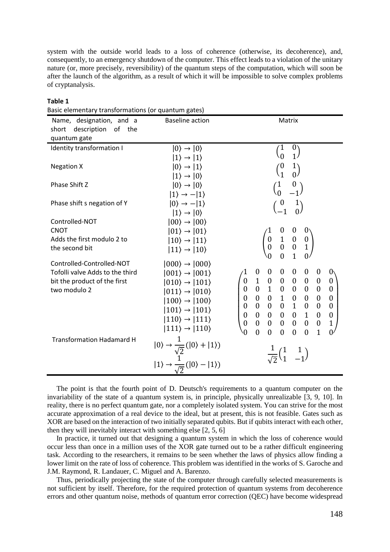system with the outside world leads to a loss of coherence (otherwise, its decoherence), and, consequently, to an emergency shutdown of the computer. This effect leads to a violation of the unitary nature (or, more precisely, reversibility) of the quantum steps of the computation, which will soon be after the launch of the algorithm, as a result of which it will be impossible to solve complex problems of cryptanalysis.

| Basic elementary transformations (or quantum gates) |                                                                                                                                                                                  |                                                                                                                                                                   |
|-----------------------------------------------------|----------------------------------------------------------------------------------------------------------------------------------------------------------------------------------|-------------------------------------------------------------------------------------------------------------------------------------------------------------------|
| Name, designation, and a                            | <b>Baseline action</b>                                                                                                                                                           | Matrix                                                                                                                                                            |
| description of the<br>short                         |                                                                                                                                                                                  |                                                                                                                                                                   |
| quantum gate                                        |                                                                                                                                                                                  |                                                                                                                                                                   |
| Identity transformation I                           | $ 0\rangle \rightarrow  0\rangle$                                                                                                                                                | $\binom{0}{1}$                                                                                                                                                    |
|                                                     | $ 1\rangle \rightarrow  1\rangle$                                                                                                                                                |                                                                                                                                                                   |
| <b>Negation X</b>                                   | $ 0\rangle \rightarrow  1\rangle$                                                                                                                                                | $\binom{1}{0}$                                                                                                                                                    |
|                                                     | $ 1\rangle \rightarrow  0\rangle$                                                                                                                                                |                                                                                                                                                                   |
| Phase Shift Z                                       | $ 0\rangle \rightarrow  0\rangle$                                                                                                                                                | $\begin{pmatrix} 1 & 0 \\ 0 & -1 \end{pmatrix}$                                                                                                                   |
|                                                     | $ 1\rangle \rightarrow - 1\rangle$                                                                                                                                               |                                                                                                                                                                   |
| Phase shift s negation of Y                         | $ 0\rangle \rightarrow - 1\rangle$                                                                                                                                               | $\begin{array}{c} 0 \\ -1 \end{array}$<br>$\binom{1}{0}$                                                                                                          |
|                                                     | $ 1\rangle \rightarrow  0\rangle$                                                                                                                                                |                                                                                                                                                                   |
| Controlled-NOT                                      | $ 00\rangle \rightarrow  00\rangle$                                                                                                                                              |                                                                                                                                                                   |
| <b>CNOT</b>                                         | $ 01\rangle \rightarrow  01\rangle$                                                                                                                                              | $0^{\scriptscriptstyle \backprime}$<br>$\boldsymbol{0}$                                                                                                           |
| Adds the first modulo 2 to                          | $ 10\rangle \rightarrow  11\rangle$                                                                                                                                              | $\begin{matrix} 0 & 1 & 0 \\ 0 & 0 & 0 \end{matrix}$<br>$\begin{smallmatrix} 0\\ 1 \end{smallmatrix}$                                                             |
| the second bit                                      | $ 11\rangle \rightarrow  10\rangle$                                                                                                                                              | $\overline{1}$                                                                                                                                                    |
| Controlled-Controlled-NOT                           | $ 000\rangle \rightarrow  000\rangle$                                                                                                                                            | 0 <sub>1</sub><br>$\theta$                                                                                                                                        |
| Tofolli valve Adds to the third                     | $ 001\rangle \rightarrow  001\rangle$                                                                                                                                            | $\boldsymbol{0}$<br>$\boldsymbol{0}$<br>$\boldsymbol{0}$<br>$\boldsymbol{0}$<br>$\boldsymbol{0}$<br>0<br>0 <sub>1</sub>                                           |
| bit the product of the first                        | $ 010\rangle \rightarrow  101\rangle$                                                                                                                                            | $\boldsymbol{0}$<br>$\boldsymbol{0}$<br>$\boldsymbol{0}$<br>$\boldsymbol{0}$                                                                                      |
| two modulo 2                                        | $ 011\rangle \rightarrow  010\rangle$                                                                                                                                            | $\begin{array}{cccc} 1 & 0 & 0 & 0 \\ 0 & 1 & 0 & 0 \\ 0 & 0 & 1 & 0 \end{array}$<br>$\boldsymbol{0}$<br>$\overline{\phantom{0}}$<br>$\boldsymbol{0}$<br>$\theta$ |
|                                                     | $ 100\rangle \rightarrow  100\rangle$                                                                                                                                            | $\boldsymbol{0}$<br>$\boldsymbol{0}$<br>$\boldsymbol{0}$<br>$\boldsymbol{0}$                                                                                      |
|                                                     | $ 101\rangle \rightarrow  101\rangle$                                                                                                                                            | $\overline{0}$<br>$\begin{matrix} 0 & 0 & 0 & 1 & 0 \end{matrix}$<br>$\boldsymbol{0}$<br>$\boldsymbol{0}$                                                         |
|                                                     | $ 110\rangle \rightarrow  111\rangle$                                                                                                                                            | $\mathbf{0}$<br>$0 \quad 0$<br>$\mathbf{0}$<br>$\boldsymbol{0}$<br>$\boldsymbol{0}$<br>$\overline{1}$<br>$\boldsymbol{0}$                                         |
|                                                     | $ 111\rangle \rightarrow  110\rangle$                                                                                                                                            | $\boldsymbol{0}$<br>$\boldsymbol{0}$<br>$\mathbf{0}$<br>$\boldsymbol{0}$<br>$\boldsymbol{0}$<br>$\mathbf{1}$<br>$\boldsymbol{0}$<br>$\boldsymbol{0}$              |
| <b>Transformation Hadamard H</b>                    |                                                                                                                                                                                  | $\mathbf{1}$<br>0 <sup>7</sup><br>$\theta$<br>$\theta$<br>$\mathbf{0}$<br>$\theta$<br>$\theta$<br>0                                                               |
|                                                     |                                                                                                                                                                                  |                                                                                                                                                                   |
|                                                     |                                                                                                                                                                                  | $\frac{1}{\sqrt{2}}\begin{pmatrix}1&1\\1&-1\end{pmatrix}$                                                                                                         |
|                                                     | $\begin{split}  0\rangle &\rightarrow \frac{1}{\sqrt{2}}\big( 0\rangle +  1\rangle\big) \\  1\rangle &\rightarrow \frac{1}{\sqrt{2}}\big( 0\rangle -  1\rangle\big) \end{split}$ |                                                                                                                                                                   |
|                                                     |                                                                                                                                                                                  |                                                                                                                                                                   |

### **Table 1**

The point is that the fourth point of D. Deutsch's requirements to a quantum computer on the invariability of the state of a quantum system is, in principle, physically unrealizable [3, 9, 10]. In reality, there is no perfect quantum gate, nor a completely isolated system. You can strive for the most accurate approximation of a real device to the ideal, but at present, this is not feasible. Gates such as XOR are based on the interaction of two initially separated qubits. But if qubits interact with each other, then they will inevitably interact with something else [2, 5, 6]

In practice, it turned out that designing a quantum system in which the loss of coherence would occur less than once in a million uses of the XOR gate turned out to be a rather difficult engineering task. According to the researchers, it remains to be seen whether the laws of physics allow finding a lower limit on the rate of loss of coherence. This problem was identified in the works of S. Garoche and J.M. Raymond, R. Landauer, C. Miguel and A. Barenzo.

Thus, periodically projecting the state of the computer through carefully selected measurements is not sufficient by itself. Therefore, for the required protection of quantum systems from decoherence errors and other quantum noise, methods of quantum error correction (QEC) have become widespread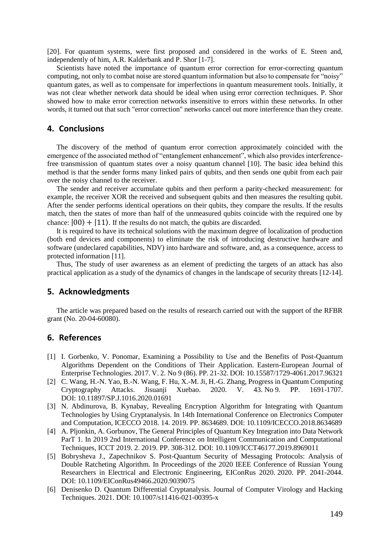[20]. For quantum systems, were first proposed and considered in the works of E. Steen and, independently of him, A.R. Kalderbank and P. Shor [1-7].

Scientists have noted the importance of quantum error correction for error-correcting quantum computing, not only to combat noise are stored quantum information but also to compensate for "noisy" quantum gates, as well as to compensate for imperfections in quantum measurement tools. Initially, it was not clear whether network data should be ideal when using error correction techniques. P. Shor showed how to make error correction networks insensitive to errors within these networks. In other words, it turned out that such "error correction" networks cancel out more interference than they create.

## **4. Conclusions**

The discovery of the method of quantum error correction approximately coincided with the emergence of the associated method of "entanglement enhancement", which also provides interferencefree transmission of quantum states over a noisy quantum channel [10]. The basic idea behind this method is that the sender forms many linked pairs of qubits, and then sends one qubit from each pair over the noisy channel to the receiver.

The sender and receiver accumulate qubits and then perform a parity-checked measurement: for example, the receiver XOR the received and subsequent qubits and then measures the resulting qubit. After the sender performs identical operations on their qubits, they compare the results. If the results match, then the states of more than half of the unmeasured qubits coincide with the required one by chance:  $|00\rangle + |11\rangle$ . If the results do not match, the qubits are discarded.

It is required to have its technical solutions with the maximum degree of localization of production (both end devices and components) to eliminate the risk of introducing destructive hardware and software (undeclared capabilities, NDV) into hardware and software, and, as a consequence, access to protected information [11].

Thus, The study of user awareness as an element of predicting the targets of an attack has also practical application as a study of the dynamics of changes in the landscape of security threats [12-14].

## **5. Acknowledgments**

The article was prepared based on the results of research carried out with the support of the RFBR grant (No. 20-04-60080).

## **6. References**

- [1] I. Gorbenko, V. Ponomar, Examining a Possibility to Use and the Benefits of Post-Quantum Algorithms Dependent on the Conditions of Their Application. Eastern-European Journal of Enterprise Technologies. 2017. V. 2. No 9 (86). PP. 21-32. DOI: 10.15587/1729-4061.2017.96321
- [2] C. Wang, H.-N. Yao, B.-N. Wang, F. Hu, X.-M. Ji, H.-G. Zhang, Progress in Quantum Computing Cryptography Attacks. Jisuanji Xuebao. 2020. V. 43. No 9. PP. 1691-1707. DOI: 10.11897/SP.J.1016.2020.01691
- [3] N. Abdinurova, B. Kynabay, Revealing Encryption Algorithm for Integrating with Quantum Technologies by Using Cryptanalysis. In 14th International Conference on Electronics Computer and Computation, ICECCO 2018. 14. 2019. PP. 8634689. DOI: 10.1109/ICECCO.2018.8634689
- [4] A. Pljonkin, A. Gorbunov, The General Principles of Quantum Key Integration into Data Network ParT 1. In 2019 2nd International Conference on Intelligent Communication and Computational Techniques, ICCT 2019. 2. 2019. PP. 308-312. DOI: 10.1109/ICCT46177.2019.8969011
- [5] Bobrysheva J., Zapechnikov S. Post-Quantum Security of Messaging Protocols: Analysis of Double Ratcheting Algorithm. In Proceedings of the 2020 IEEE Conference of Russian Young Researchers in Electrical and Electronic Engineering, EIConRus 2020. 2020. PP. 2041-2044. DOI: 10.1109/EIConRus49466.2020.9039075
- [6] Denisenko D. Quantum Differential Cryptanalysis. Journal of Computer Virology and Hacking Techniques. 2021. DOI: 10.1007/s11416-021-00395-x